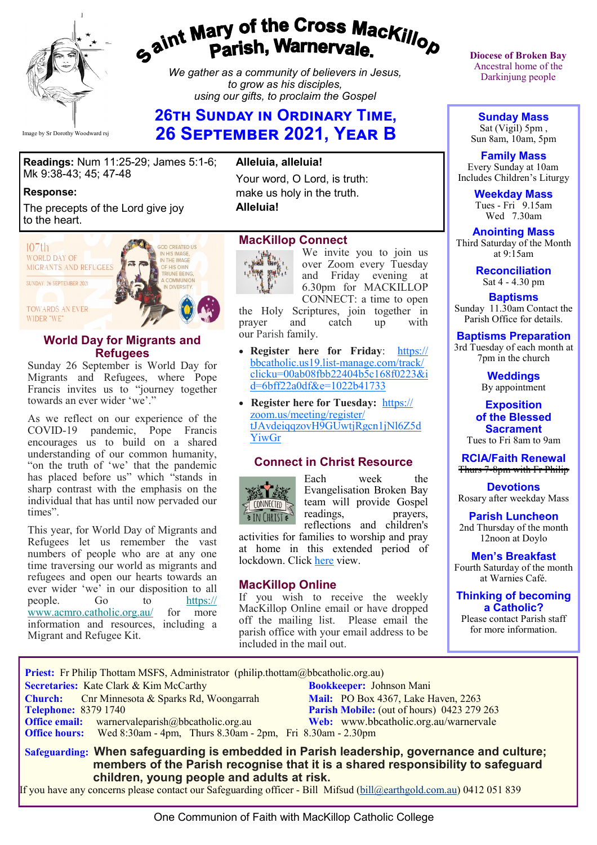

# gaint Mary of the Cross Mackillo<sub>p</sub><br>g<sup>aint</sup> Parish, Warnervale.

*We gather as a community of believers in Jesus, to grow as his disciples, using our gifts, to proclaim the Gospel*

# **26th Sunday in Ordinary Time, 26 September 2021, Year B**

**Readings:** Num 11:25-29; James 5:1-6; Mk 9:38-43; 45; 47-48

#### **Response:**

The precepts of the Lord give joy to the heart.



#### **World Day for Migrants and Refugees**

Sunday 26 September is World Day for Migrants and Refugees, where Pope Francis invites us to "journey together towards an ever wider 'we'."

As we reflect on our experience of the COVID-19 pandemic, Pope Francis encourages us to build on a shared understanding of our common humanity, "on the truth of 'we' that the pandemic has placed before us" which "stands in sharp contrast with the emphasis on the individual that has until now pervaded our times".

This year, for World Day of Migrants and Refugees let us remember the vast numbers of people who are at any one time traversing our world as migrants and refugees and open our hearts towards an ever wider 'we' in our disposition to all people. Go to [https://](https://bbcatholic.us8.list-manage.com/track/click?u=466af249e088db70ab864d088&id=2975b91386&e=e312df0f80) [www.acmro.catholic.org.au/](https://bbcatholic.us8.list-manage.com/track/click?u=466af249e088db70ab864d088&id=2975b91386&e=e312df0f80) for more information and resources, including a Migrant and Refugee Kit.

**Alleluia, alleluia!** Your word, O Lord, is truth: make us holy in the truth.

**Alleluia!**

#### **MacKillop Connect**



We invite you to join us over Zoom every Tuesday and Friday evening at 6.30pm for MACKILLOP CONNECT: a time to open

the Holy Scriptures, join together in<br>prayer and catch up with prayer our Parish family.

- **Register here for Friday**: [https://](https://bbcatholic.us19.list-manage.com/track/click?u=00ab08fbb22404b5c168f0223&id=6bff22a0df&e=1022b41733) [bbcatholic.us19.list](https://bbcatholic.us19.list-manage.com/track/click?u=00ab08fbb22404b5c168f0223&id=6bff22a0df&e=1022b41733)-manage.com/track/ [clicku=00ab08fbb22404b5c168f0223&i](https://bbcatholic.us19.list-manage.com/track/click?u=00ab08fbb22404b5c168f0223&id=6bff22a0df&e=1022b41733) [d=6bff22a0df&e=1022b41733](https://bbcatholic.us19.list-manage.com/track/click?u=00ab08fbb22404b5c168f0223&id=6bff22a0df&e=1022b41733)
- **Register here for Tuesday:** [https://](https://bbcatholic.us19.list-manage.com/track/click?u=00ab08fbb22404b5c168f0223&id=6bff22a0df&e=1022b41733) [zoom.us/meeting/register/](https://bbcatholic.us19.list-manage.com/track/click?u=00ab08fbb22404b5c168f0223&id=6bff22a0df&e=1022b41733) [tJAvdeiqqzovH9GUwtjRgcn1jNl6Z5d](https://bbcatholic.us19.list-manage.com/track/click?u=00ab08fbb22404b5c168f0223&id=6bff22a0df&e=1022b41733) [YiwGr](https://bbcatholic.us19.list-manage.com/track/click?u=00ab08fbb22404b5c168f0223&id=6bff22a0df&e=1022b41733)

#### **Connect in Christ Resource**



Each week the Evangelisation Broken Bay team will provide Gospel<br>readings, prayers, prayers. reflections and children's

activities for families to worship and pray at home in this extended period of lockdown. Click [here](https://mcusercontent.com/466af249e088db70ab864d088/files/cba363d3-6560-47b7-a022-c44e886805be/Connected_in_Christ_19_September_2021.01.pdf) view.

#### **MacKillop Online**

If you wish to receive the weekly MacKillop Online email or have dropped off the mailing list. Please email the parish office with your email address to be included in the mail out.

**Diocese of Broken Bay**  Ancestral home of the Darkinjung people

**Sunday Mass** Sat (Vigil) 5pm , Sun 8am, 10am, 5pm

**Family Mass**  Every Sunday at 10am Includes Children's Liturgy

> **Weekday Mass** Tues - Fri 9.15am Wed 7.30am

**Anointing Mass** Third Saturday of the Month at 9:15am

> **Reconciliation** Sat 4 - 4.30 pm

#### **Baptisms**

Sunday 11.30am Contact the Parish Office for details.

**Baptisms Preparation**

3rd Tuesday of each month at 7pm in the church

> **Weddings**  By appointment

**Exposition of the Blessed Sacrament** Tues to Fri 8am to 9am

**RCIA/Faith Renewal**  Thurs 7-8pm with Fr Philip

**Devotions** Rosary after weekday Mass

**Parish Luncheon** 2nd Thursday of the month 12noon at Doylo

**Men's Breakfast** Fourth Saturday of the month at Warnies Café.

**Thinking of becoming a Catholic?**

Please contact Parish staff for more information.

 **Priest:** Fr Philip Thottam MSFS, Administrator (philip.thottam@bbcatholic.org.au)

**Secretaries:** Kate Clark & Kim McCarthy **Bookkeeper:** Johnson Mani

**Church:** Cnr Minnesota & Sparks Rd, Woongarrah **Mail: PO Box 4367, Lake Haven, 2263**<br> **Parish Mobile:** (out of hours) 0423 279 **Office email:** warnervaleparish@bbcatholic.org.au **Web:** [www.bbcatholic.org.au/warnervale](https://www.bbcatholic.org.au/warnervale)

**Parish Mobile:** (out of hours) 0423 279 263  **Office hours:** Wed 8:30am - 4pm, Thurs 8.30am - 2pm, Fri 8.30am - 2.30pm

 **Safeguarding: When safeguarding is embedded in Parish leadership, governance and culture; members of the Parish recognise that it is a shared responsibility to safeguard children, young people and adults at risk.**

If you have any concerns please contact our Safeguarding officer - Bill Mifsud ([bill@earthgold.com.au\)](mailto:bill@earthgold.com.au) 0412 051 839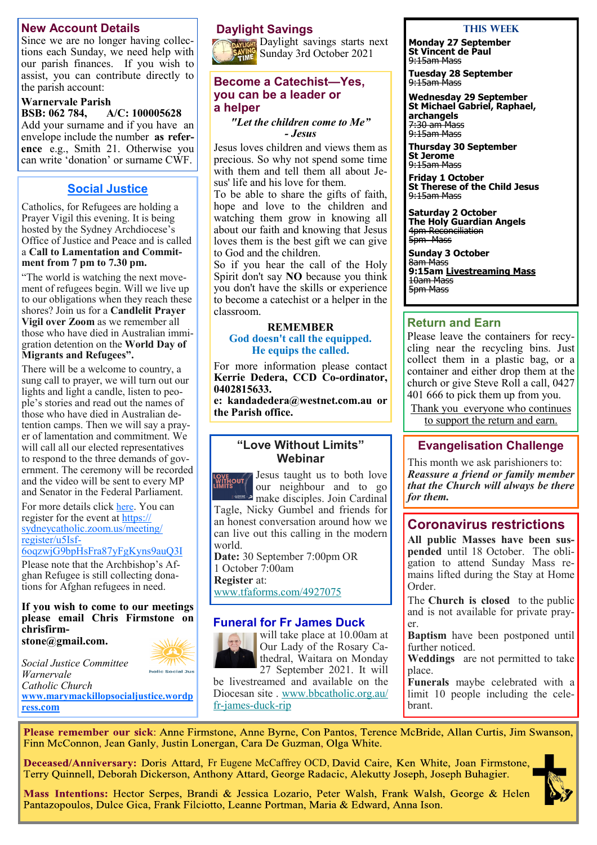#### **New Account Details**

Since we are no longer having collections each Sunday, we need help with our parish finances. If you wish to assist, you can contribute directly to the parish account:

# **Warnervale Parish**

**BSB: 062 784, A/C: 100005628** Add your surname and if you have an envelope include the number **as reference** e.g., Smith 21. Otherwise you can write 'donation' or surname CWF.

## **Social Justice**

Catholics, for Refugees are holding a Prayer Vigil this evening. It is being hosted by the Sydney Archdiocese's Office of Justice and Peace and is called a **Call to Lamentation and Commitment from 7 pm to 7.30 pm.**

"The world is watching the next movement of refugees begin. Will we live up to our obligations when they reach these shores? Join us for a **Candlelit Prayer Vigil over Zoom** as we remember all those who have died in Australian immigration detention on the **World Day of Migrants and Refugees".**

There will be a welcome to country, a sung call to prayer, we will turn out our lights and light a candle, listen to people's stories and read out the names of those who have died in Australian detention camps. Then we will say a prayer of lamentation and commitment. We will call all our elected representatives to respond to the three demands of government. The ceremony will be recorded and the video will be sent to every MP and Senator in the Federal Parliament.

For more details click [here](http://justiceandpeace.org.au/call-to-lamentation-and-commitment/). You can register for the event at [https://](https://sydneycatholic.zoom.us/meeting/register/u5Isf-6oqzwjG9bpHsFra87yFgKyns9auQ3I) [sydneycatholic.zoom.us/meeting/](https://sydneycatholic.zoom.us/meeting/register/u5Isf-6oqzwjG9bpHsFra87yFgKyns9auQ3I) [register/u5Isf](https://sydneycatholic.zoom.us/meeting/register/u5Isf-6oqzwjG9bpHsFra87yFgKyns9auQ3I)-

#### [6oqzwjG9bpHsFra87yFgKyns9auQ3I](https://sydneycatholic.zoom.us/meeting/register/u5Isf-6oqzwjG9bpHsFra87yFgKyns9auQ3I)

Please note that the Archbishop's Afghan Refugee is still collecting donations for Afghan refugees in need.

#### **If you wish to come to our meetings please email Chris Firmstone on chrisfirmstone@gmail.com.**

*Social Justice Committee*  **bolic Social Just** *Warnervale Catholic Church*  **[www.marymackillopsocialjustice.wordp](http://www.marymackillopsocialjustice.wordpress.com) ress[.com](http://www.marymackillopsocialjustice.wordpress.com)**



**Daylight** savings starts next Sunday 3rd October 2021

#### **Become a Catechist—Yes, you can be a leader or a helper**

#### *"Let the children come to Me" - Jesus*

Jesus loves children and views them as precious. So why not spend some time with them and tell them all about Jesus' life and his love for them.

To be able to share the gifts of faith, hope and love to the children and watching them grow in knowing all about our faith and knowing that Jesus loves them is the best gift we can give to God and the children.

So if you hear the call of the Holy Spirit don't say **NO** because you think you don't have the skills or experience to become a catechist or a helper in the classroom.

#### **REMEMBER**

**God doesn't call the equipped. He equips the called.**

For more information please contact **Kerrie Dedera, CCD Co-ordinator, 0402815633.**

**e: kandadedera@westnet.com.au or the Parish office.**

#### **"Love Without Limits" Webinar**

Jesus taught us to both love WITHOUT our neighbour and to go

make disciples. Join Cardinal Tagle, Nicky Gumbel and friends for an honest conversation around how we can live out this calling in the modern world.

**Date:** 30 September 7:00pm OR 1 October 7:00am **Register** at: [www.tfaforms.com/4927075](https://bbcatholic.us8.list-manage.com/track/click?u=466af249e088db70ab864d088&id=cf7f368e70&e=e312df0f80)

### **Funeral for Fr James Duck**



will take place at 10.00am at Our Lady of the Rosary Cathedral, Waitara on Monday 27 September 2021. It will

be livestreamed and available on the Diocesan site . [www.bbcatholic.org.au/](https://bbcatholic.us8.list-manage.com/track/click?u=466af249e088db70ab864d088&id=ba0c1e5a3b&e=e312df0f80) fr-[james](https://bbcatholic.us8.list-manage.com/track/click?u=466af249e088db70ab864d088&id=ba0c1e5a3b&e=e312df0f80)-duck-rip

#### **This Week**

**Monday 27 September St Vincent de Paul** 9:15am Mass

**Tuesday 28 September** <del>9:15am Mass</del>

**Wednesday 29 September St Michael Gabriel, Raphael, archangels** 7:30 am Mass 9:15am Mass

**Thursday 30 September St Jerome** 9:15am Mass

**Friday 1 October St Therese of the Child Jesus** 9:15am Mass

**Saturday 2 October The Holy Guardian Angels** 4pm Reconciliation 5pm Mass

**Sunday 3 October** 8am Mass **9:15am Livestreaming Mass**  10am Mass 5pm Mass

#### **Return and Earn**

Please leave the containers for recycling near the recycling bins. Just collect them in a plastic bag, or a container and either drop them at the church or give Steve Roll a call, 0427 401 666 to pick them up from you.

Thank you everyone who continues to support the return and earn.

### **Evangelisation Challenge**

This month we ask parishioners to: *Reassure a friend or family member that the Church will always be there for them.*

## **Coronavirus restrictions**

**All public Masses have been suspended** until 18 October. The obligation to attend Sunday Mass remains lifted during the Stay at Home Order.

The **Church is closed** to the public and is not available for private prayer.

**Baptism** have been postponed until further noticed.

**Weddings** are not permitted to take place.

**Funerals** maybe celebrated with a limit 10 people including the celebrant.

Please remember our sick: Anne Firmstone, Anne Byrne, Con Pantos, Terence McBride, Allan Curtis, Jim Swanson, Finn McConnon, Jean Ganly, Justin Lonergan, Cara De Guzman, Olga White.

Deceased/Anniversary: Doris Attard, Fr Eugene McCaffrey OCD, David Caire, Ken White, Joan Firmstone, Terry Quinnell, Deborah Dickerson, Anthony Attard, George Radacic, Alekutty Joseph, Joseph Buhagier.

Mass Intentions: Hector Serpes, Brandi & Jessica Lozario, Peter Walsh, Frank Walsh, George & Helen Pantazopoulos, Dulce Gica, Frank Filciotto, Leanne Portman, Maria & Edward, Anna Ison.

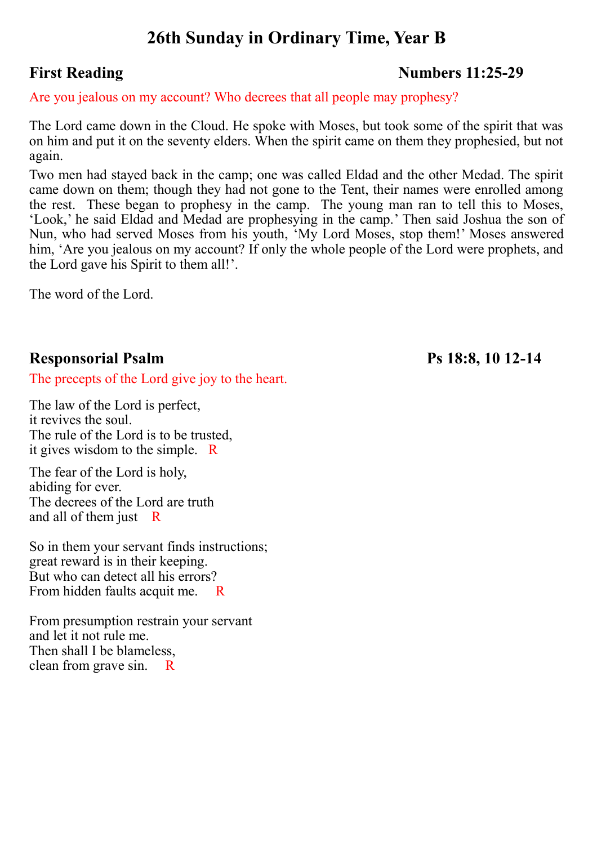# **26th Sunday in Ordinary Time, Year B**

# **First Reading Numbers 11:25-29**

## Are you jealous on my account? Who decrees that all people may prophesy?

The Lord came down in the Cloud. He spoke with Moses, but took some of the spirit that was on him and put it on the seventy elders. When the spirit came on them they prophesied, but not again.

Two men had stayed back in the camp; one was called Eldad and the other Medad. The spirit came down on them; though they had not gone to the Tent, their names were enrolled among the rest. These began to prophesy in the camp. The young man ran to tell this to Moses, 'Look,' he said Eldad and Medad are prophesying in the camp.' Then said Joshua the son of Nun, who had served Moses from his youth, 'My Lord Moses, stop them!' Moses answered him, 'Are you jealous on my account? If only the whole people of the Lord were prophets, and the Lord gave his Spirit to them all!'.

The word of the Lord.

# **Responsorial Psalm Ps 18:8, 10 12-14**

The precepts of the Lord give joy to the heart.

The law of the Lord is perfect, it revives the soul. The rule of the Lord is to be trusted, it gives wisdom to the simple. R

The fear of the Lord is holy, abiding for ever. The decrees of the Lord are truth and all of them just  $\overline{R}$ 

So in them your servant finds instructions; great reward is in their keeping. But who can detect all his errors? From hidden faults acquit me. R

From presumption restrain your servant and let it not rule me. Then shall I be blameless, clean from grave sin. R